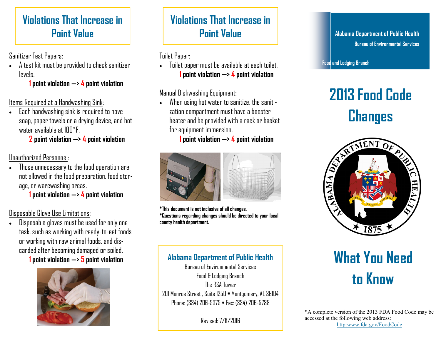# **Violations That Increase in Point Value**

# Sanitizer Test Papers:

 A test kit must be provided to check sanitizer levels.

**1 point violation —> 4 point violation**

#### Items Required at a Handwashing Sink:

 Each handwashing sink is required to have soap, paper towels or a drying device, and hot water available at  $100^\circ F$ 

**2 point violation —> 4 point violation**

#### Unauthorized Personnel:

 Those unnecessary to the food operation are not allowed in the food preparation, food storage, or warewashing areas.

**1 point violation —> 4 point violation**

Disposable Glove Use Limitations;

 Disposable gloves must be used for only one task, such as working with ready-to-eat foods or working with raw animal foods, and discarded after becoming damaged or soiled. **1 point violation —> 5 point violation**



# **Violations That Increase in Point Value**

Toilet Paper:

 Toilet paper must be available at each toilet. **1 point violation —> 4 point violation**

#### Manual Dishwashing Equipment:

 When using hot water to sanitize, the sanitization compartment must have a booster heater and be provided with a rack or basket for equipment immersion.

**1 point violation —> 4 point violation**



**\*This document is not inclusive of all changes. \*Questions regarding changes should be directed to your local county health department.**

**Alabama Department of Public Health Bureau of Environmental Services**

**Food and Lodging Branch**

# **2013 Food Code**



# **What You Need to Know**

\*A complete version of the 2013 FDA Food Code may be accessed at the following web address: http:www.fda.gov/FoodCode

# **Alabama Department of Public Health**

Bureau of Environmental Services Food & Lodging Branch The RSA Tower 201 Monroe Street , Suite 1250 • Montgomery, AL 36104 Phone: (334) 206-5375 • Fax: (334) 206-5788

Revised: 7/11/2016